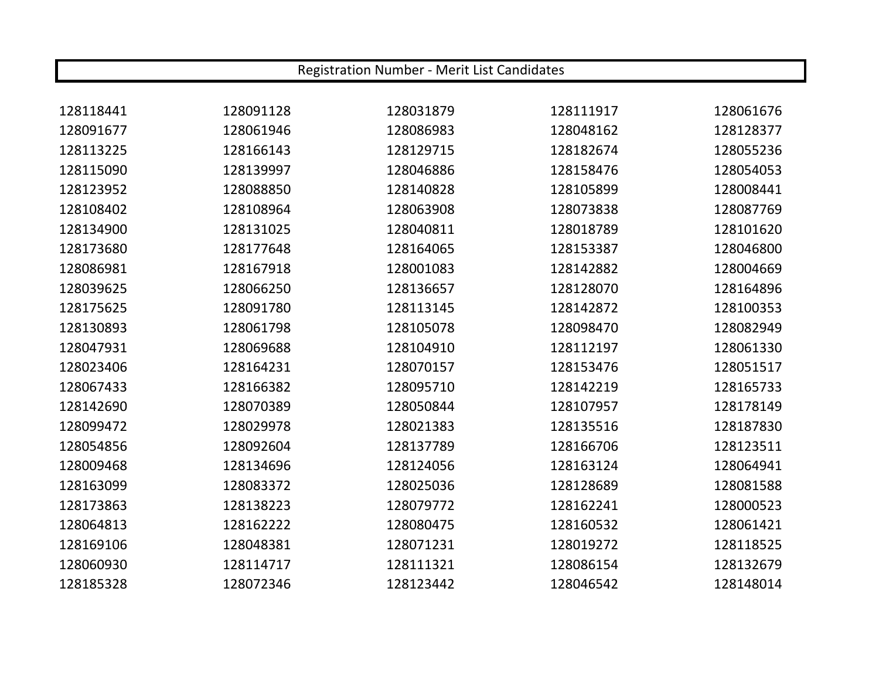| Registration Number - Merit List Candidates |           |           |           |           |
|---------------------------------------------|-----------|-----------|-----------|-----------|
|                                             |           |           |           |           |
| 128118441                                   | 128091128 | 128031879 | 128111917 | 128061676 |
| 128091677                                   | 128061946 | 128086983 | 128048162 | 128128377 |
| 128113225                                   | 128166143 | 128129715 | 128182674 | 128055236 |
| 128115090                                   | 128139997 | 128046886 | 128158476 | 128054053 |
| 128123952                                   | 128088850 | 128140828 | 128105899 | 128008441 |
| 128108402                                   | 128108964 | 128063908 | 128073838 | 128087769 |
| 128134900                                   | 128131025 | 128040811 | 128018789 | 128101620 |
| 128173680                                   | 128177648 | 128164065 | 128153387 | 128046800 |
| 128086981                                   | 128167918 | 128001083 | 128142882 | 128004669 |
| 128039625                                   | 128066250 | 128136657 | 128128070 | 128164896 |
| 128175625                                   | 128091780 | 128113145 | 128142872 | 128100353 |
| 128130893                                   | 128061798 | 128105078 | 128098470 | 128082949 |
| 128047931                                   | 128069688 | 128104910 | 128112197 | 128061330 |
| 128023406                                   | 128164231 | 128070157 | 128153476 | 128051517 |
| 128067433                                   | 128166382 | 128095710 | 128142219 | 128165733 |
| 128142690                                   | 128070389 | 128050844 | 128107957 | 128178149 |
| 128099472                                   | 128029978 | 128021383 | 128135516 | 128187830 |
| 128054856                                   | 128092604 | 128137789 | 128166706 | 128123511 |
| 128009468                                   | 128134696 | 128124056 | 128163124 | 128064941 |
| 128163099                                   | 128083372 | 128025036 | 128128689 | 128081588 |
| 128173863                                   | 128138223 | 128079772 | 128162241 | 128000523 |
| 128064813                                   | 128162222 | 128080475 | 128160532 | 128061421 |
| 128169106                                   | 128048381 | 128071231 | 128019272 | 128118525 |
| 128060930                                   | 128114717 | 128111321 | 128086154 | 128132679 |
| 128185328                                   | 128072346 | 128123442 | 128046542 | 128148014 |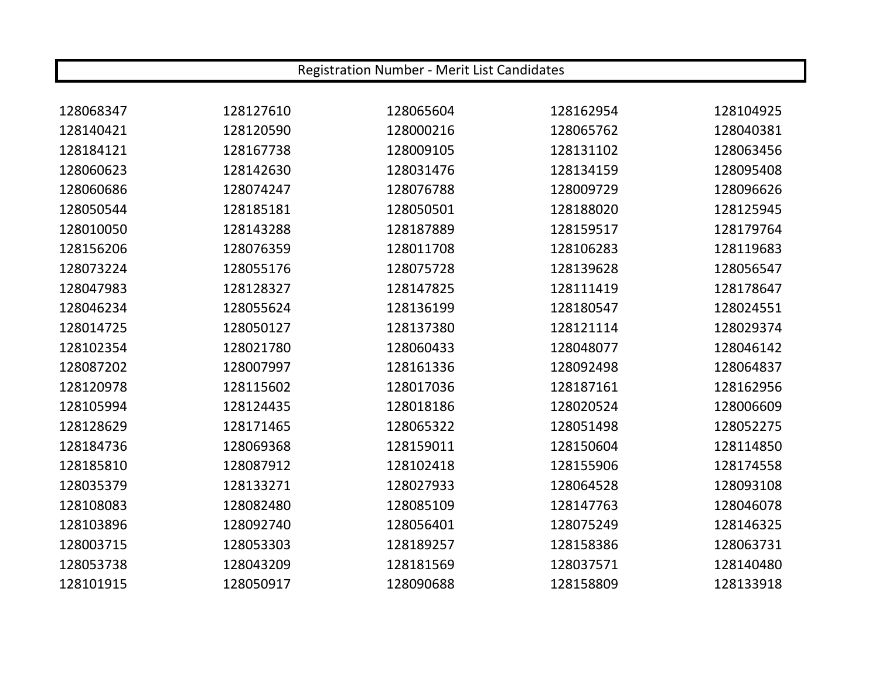| Registration Number - Merit List Candidates |           |           |           |           |
|---------------------------------------------|-----------|-----------|-----------|-----------|
|                                             |           |           |           |           |
| 128068347                                   | 128127610 | 128065604 | 128162954 | 128104925 |
| 128140421                                   | 128120590 | 128000216 | 128065762 | 128040381 |
| 128184121                                   | 128167738 | 128009105 | 128131102 | 128063456 |
| 128060623                                   | 128142630 | 128031476 | 128134159 | 128095408 |
| 128060686                                   | 128074247 | 128076788 | 128009729 | 128096626 |
| 128050544                                   | 128185181 | 128050501 | 128188020 | 128125945 |
| 128010050                                   | 128143288 | 128187889 | 128159517 | 128179764 |
| 128156206                                   | 128076359 | 128011708 | 128106283 | 128119683 |
| 128073224                                   | 128055176 | 128075728 | 128139628 | 128056547 |
| 128047983                                   | 128128327 | 128147825 | 128111419 | 128178647 |
| 128046234                                   | 128055624 | 128136199 | 128180547 | 128024551 |
| 128014725                                   | 128050127 | 128137380 | 128121114 | 128029374 |
| 128102354                                   | 128021780 | 128060433 | 128048077 | 128046142 |
| 128087202                                   | 128007997 | 128161336 | 128092498 | 128064837 |
| 128120978                                   | 128115602 | 128017036 | 128187161 | 128162956 |
| 128105994                                   | 128124435 | 128018186 | 128020524 | 128006609 |
| 128128629                                   | 128171465 | 128065322 | 128051498 | 128052275 |
| 128184736                                   | 128069368 | 128159011 | 128150604 | 128114850 |
| 128185810                                   | 128087912 | 128102418 | 128155906 | 128174558 |
| 128035379                                   | 128133271 | 128027933 | 128064528 | 128093108 |
| 128108083                                   | 128082480 | 128085109 | 128147763 | 128046078 |
| 128103896                                   | 128092740 | 128056401 | 128075249 | 128146325 |
| 128003715                                   | 128053303 | 128189257 | 128158386 | 128063731 |
| 128053738                                   | 128043209 | 128181569 | 128037571 | 128140480 |
| 128101915                                   | 128050917 | 128090688 | 128158809 | 128133918 |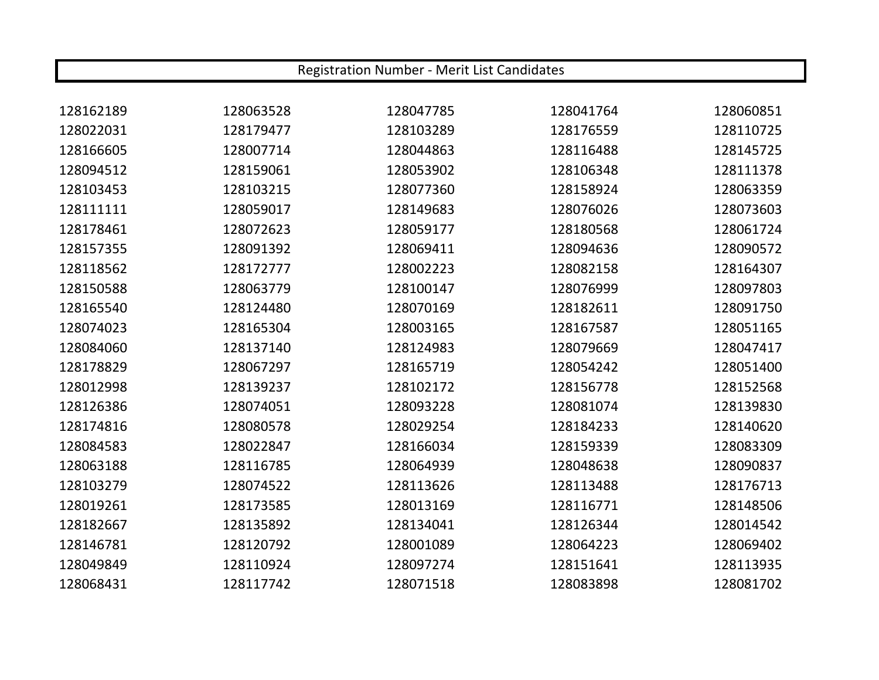| Registration Number - Merit List Candidates |           |           |           |           |
|---------------------------------------------|-----------|-----------|-----------|-----------|
|                                             |           |           |           |           |
| 128162189                                   | 128063528 | 128047785 | 128041764 | 128060851 |
| 128022031                                   | 128179477 | 128103289 | 128176559 | 128110725 |
| 128166605                                   | 128007714 | 128044863 | 128116488 | 128145725 |
| 128094512                                   | 128159061 | 128053902 | 128106348 | 128111378 |
| 128103453                                   | 128103215 | 128077360 | 128158924 | 128063359 |
| 128111111                                   | 128059017 | 128149683 | 128076026 | 128073603 |
| 128178461                                   | 128072623 | 128059177 | 128180568 | 128061724 |
| 128157355                                   | 128091392 | 128069411 | 128094636 | 128090572 |
| 128118562                                   | 128172777 | 128002223 | 128082158 | 128164307 |
| 128150588                                   | 128063779 | 128100147 | 128076999 | 128097803 |
| 128165540                                   | 128124480 | 128070169 | 128182611 | 128091750 |
| 128074023                                   | 128165304 | 128003165 | 128167587 | 128051165 |
| 128084060                                   | 128137140 | 128124983 | 128079669 | 128047417 |
| 128178829                                   | 128067297 | 128165719 | 128054242 | 128051400 |
| 128012998                                   | 128139237 | 128102172 | 128156778 | 128152568 |
| 128126386                                   | 128074051 | 128093228 | 128081074 | 128139830 |
| 128174816                                   | 128080578 | 128029254 | 128184233 | 128140620 |
| 128084583                                   | 128022847 | 128166034 | 128159339 | 128083309 |
| 128063188                                   | 128116785 | 128064939 | 128048638 | 128090837 |
| 128103279                                   | 128074522 | 128113626 | 128113488 | 128176713 |
| 128019261                                   | 128173585 | 128013169 | 128116771 | 128148506 |
| 128182667                                   | 128135892 | 128134041 | 128126344 | 128014542 |
| 128146781                                   | 128120792 | 128001089 | 128064223 | 128069402 |
| 128049849                                   | 128110924 | 128097274 | 128151641 | 128113935 |
| 128068431                                   | 128117742 | 128071518 | 128083898 | 128081702 |